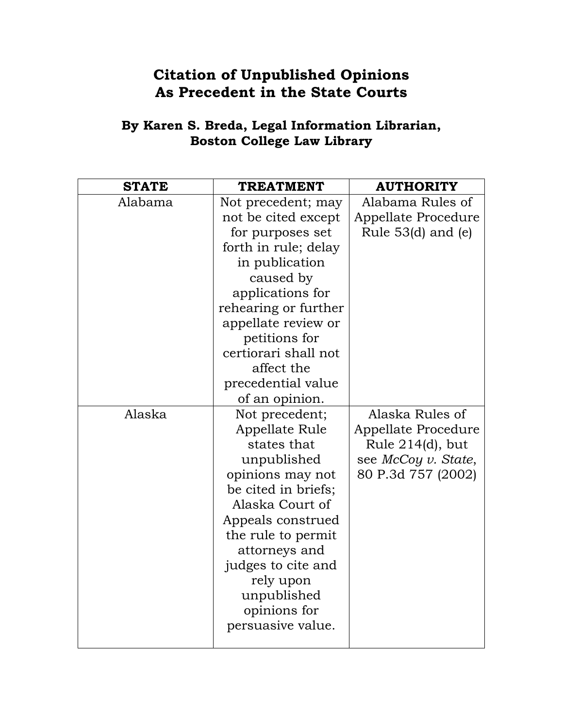## **Citation of Unpublished Opinions As Precedent in the State Courts**

## **By Karen S. Breda, Legal Information Librarian, Boston College Law Library**

| <b>STATE</b> | <b>TREATMENT</b>     | <b>AUTHORITY</b>     |
|--------------|----------------------|----------------------|
| Alabama      | Not precedent; may   | Alabama Rules of     |
|              | not be cited except  | Appellate Procedure  |
|              | for purposes set     | Rule $53(d)$ and (e) |
|              | forth in rule; delay |                      |
|              | in publication       |                      |
|              | caused by            |                      |
|              | applications for     |                      |
|              | rehearing or further |                      |
|              | appellate review or  |                      |
|              | petitions for        |                      |
|              | certiorari shall not |                      |
|              | affect the           |                      |
|              | precedential value   |                      |
|              | of an opinion.       |                      |
| Alaska       | Not precedent;       | Alaska Rules of      |
|              | Appellate Rule       | Appellate Procedure  |
|              | states that          | Rule $214(d)$ , but  |
|              | unpublished          | see McCoy v. State,  |
|              | opinions may not     | 80 P.3d 757 (2002)   |
|              | be cited in briefs;  |                      |
|              | Alaska Court of      |                      |
|              | Appeals construed    |                      |
|              | the rule to permit   |                      |
|              | attorneys and        |                      |
|              | judges to cite and   |                      |
|              | rely upon            |                      |
|              | unpublished          |                      |
|              | opinions for         |                      |
|              | persuasive value.    |                      |
|              |                      |                      |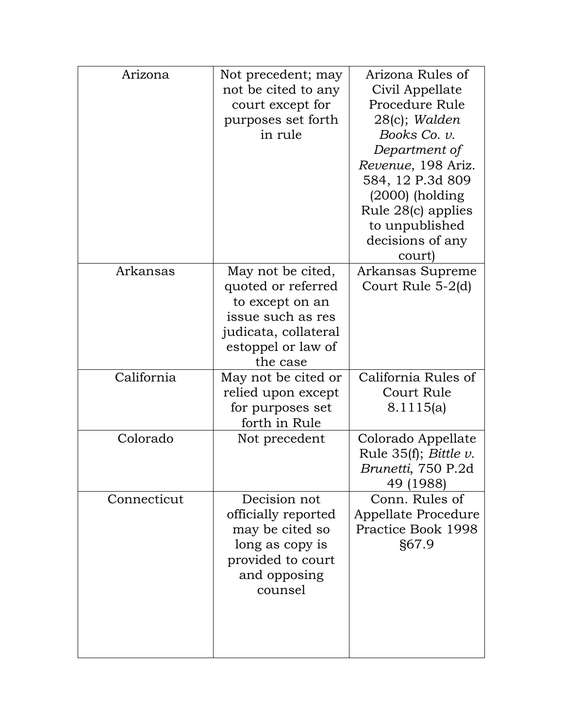| Arizona     | Not precedent; may<br>not be cited to any<br>court except for<br>purposes set forth<br>in rule                                            | Arizona Rules of<br>Civil Appellate<br>Procedure Rule<br>28(c); Walden<br>Books Co. v.<br>Department of<br>Revenue, 198 Ariz.<br>584, 12 P.3d 809<br>$(2000)$ (holding<br>Rule 28(c) applies<br>to unpublished |
|-------------|-------------------------------------------------------------------------------------------------------------------------------------------|----------------------------------------------------------------------------------------------------------------------------------------------------------------------------------------------------------------|
|             |                                                                                                                                           | decisions of any<br>court)                                                                                                                                                                                     |
| Arkansas    | May not be cited,<br>quoted or referred<br>to except on an<br>issue such as res<br>judicata, collateral<br>estoppel or law of<br>the case | Arkansas Supreme<br>Court Rule 5-2(d)                                                                                                                                                                          |
| California  | May not be cited or<br>relied upon except<br>for purposes set<br>forth in Rule                                                            | California Rules of<br>Court Rule<br>8.1115(a)                                                                                                                                                                 |
| Colorado    | Not precedent                                                                                                                             | Colorado Appellate<br>Rule $35(f)$ ; <i>Bittle v.</i><br>Brunetti, 750 P.2d<br>(1988)<br>49                                                                                                                    |
| Connecticut | Decision not<br>officially reported<br>may be cited so<br>long as copy is<br>provided to court<br>and opposing<br>counsel                 | Conn. Rules of<br>Appellate Procedure<br>Practice Book 1998<br>§67.9                                                                                                                                           |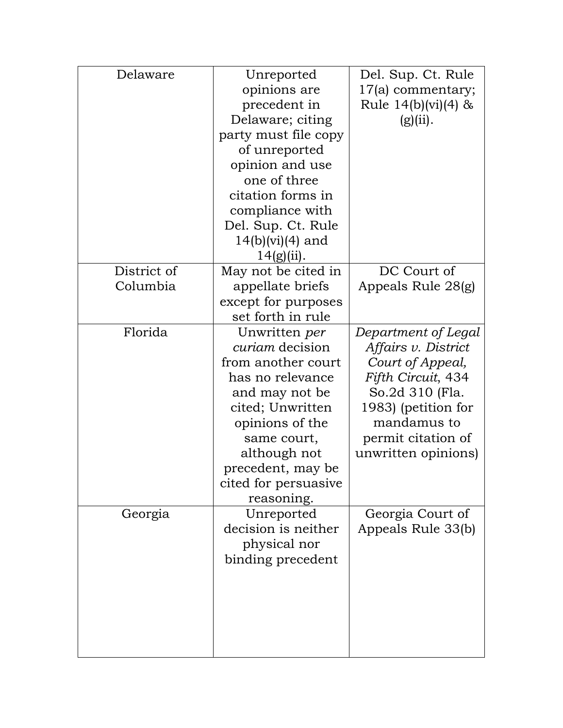| Delaware                | Unreported<br>opinions are<br>precedent in<br>Delaware; citing<br>party must file copy<br>of unreported<br>opinion and use<br>one of three<br>citation forms in<br>compliance with                                                   | Del. Sup. Ct. Rule<br>17(a) commentary;<br>Rule $14(b)(vi)(4)$ &<br>(g)(ii).                                                                                                               |
|-------------------------|--------------------------------------------------------------------------------------------------------------------------------------------------------------------------------------------------------------------------------------|--------------------------------------------------------------------------------------------------------------------------------------------------------------------------------------------|
|                         | Del. Sup. Ct. Rule<br>$14(b)(vi)(4)$ and<br>$14(g)(ii)$ .                                                                                                                                                                            |                                                                                                                                                                                            |
| District of<br>Columbia | May not be cited in<br>appellate briefs<br>except for purposes<br>set forth in rule                                                                                                                                                  | DC Court of<br>Appeals Rule 28(g)                                                                                                                                                          |
| Florida                 | Unwritten per<br><i>curiam</i> decision<br>from another court<br>has no relevance<br>and may not be<br>cited; Unwritten<br>opinions of the<br>same court,<br>although not<br>precedent, may be<br>cited for persuasive<br>reasoning. | Department of Legal<br>Affairs v. District<br>Court of Appeal,<br>Fifth Circuit, 434<br>So.2d 310 (Fla.<br>1983) (petition for<br>mandamus to<br>permit citation of<br>unwritten opinions) |
| Georgia                 | Unreported<br>decision is neither<br>physical nor<br>binding precedent                                                                                                                                                               | Georgia Court of<br>Appeals Rule 33(b)                                                                                                                                                     |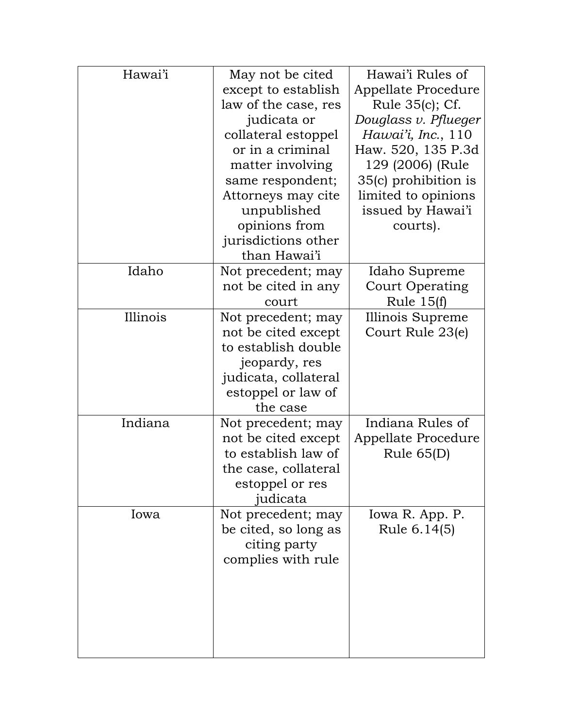| Hawai'i  | May not be cited     | Hawai'i Rules of     |
|----------|----------------------|----------------------|
|          | except to establish  | Appellate Procedure  |
|          | law of the case, res | Rule 35(c); Cf.      |
|          | judicata or          | Douglass v. Pflueger |
|          | collateral estoppel  | Hawai'i, Inc., 110   |
|          | or in a criminal     | Haw. 520, 135 P.3d   |
|          | matter involving     | 129 (2006) (Rule     |
|          | same respondent;     | 35(c) prohibition is |
|          | Attorneys may cite   | limited to opinions  |
|          | unpublished          | issued by Hawai'i    |
|          | opinions from        | courts).             |
|          | jurisdictions other  |                      |
|          | than Hawai'i         |                      |
| Idaho    | Not precedent; may   | Idaho Supreme        |
|          | not be cited in any  | Court Operating      |
|          | court                | Rule $15(f)$         |
| Illinois | Not precedent; may   | Illinois Supreme     |
|          | not be cited except  | Court Rule 23(e)     |
|          | to establish double  |                      |
|          | jeopardy, res        |                      |
|          | judicata, collateral |                      |
|          | estoppel or law of   |                      |
|          | the case             |                      |
| Indiana  | Not precedent; may   | Indiana Rules of     |
|          | not be cited except  | Appellate Procedure  |
|          | to establish law of  | Rule $65(D)$         |
|          | the case, collateral |                      |
|          | estoppel or res      |                      |
|          | judicata             |                      |
| Iowa     | Not precedent; may   | Iowa R. App. P.      |
|          | be cited, so long as | Rule 6.14(5)         |
|          | citing party         |                      |
|          | complies with rule   |                      |
|          |                      |                      |
|          |                      |                      |
|          |                      |                      |
|          |                      |                      |
|          |                      |                      |
|          |                      |                      |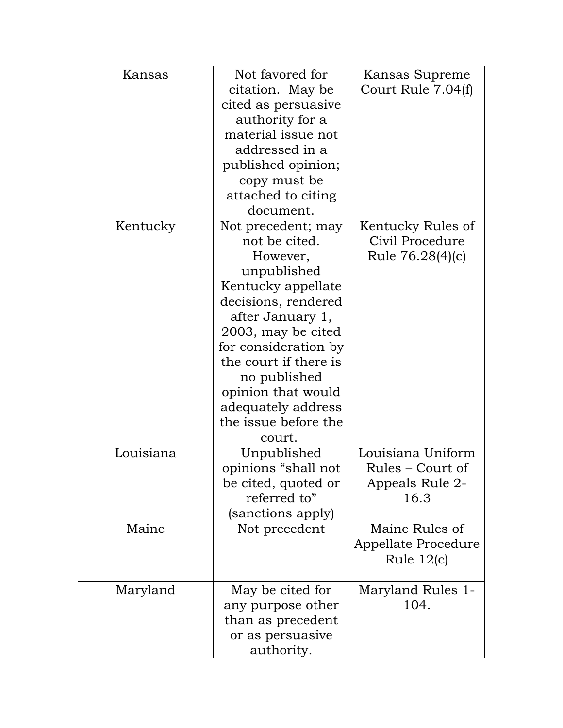| Kansas    | Not favored for       | Kansas Supreme      |
|-----------|-----------------------|---------------------|
|           | citation. May be      | Court Rule 7.04(f)  |
|           | cited as persuasive   |                     |
|           | authority for a       |                     |
|           | material issue not    |                     |
|           | addressed in a        |                     |
|           | published opinion;    |                     |
|           | copy must be          |                     |
|           | attached to citing    |                     |
|           | document.             |                     |
| Kentucky  | Not precedent; may    | Kentucky Rules of   |
|           | not be cited.         | Civil Procedure     |
|           | However,              | Rule 76.28(4)(c)    |
|           | unpublished           |                     |
|           | Kentucky appellate    |                     |
|           | decisions, rendered   |                     |
|           | after January 1,      |                     |
|           | 2003, may be cited    |                     |
|           | for consideration by  |                     |
|           | the court if there is |                     |
|           | no published          |                     |
|           | opinion that would    |                     |
|           | adequately address    |                     |
|           | the issue before the  |                     |
|           | court.                |                     |
| Louisiana | Unpublished           | Louisiana Uniform   |
|           | opinions "shall not   | Rules – Court of    |
|           | be cited, quoted or   | Appeals Rule 2-     |
|           | referred to"          | 16.3                |
|           | sanctions apply)      |                     |
| Maine     | Not precedent         | Maine Rules of      |
|           |                       | Appellate Procedure |
|           |                       | Rule $12(c)$        |
|           |                       |                     |
| Maryland  | May be cited for      | Maryland Rules 1-   |
|           | any purpose other     | 104.                |
|           | than as precedent     |                     |
|           | or as persuasive      |                     |
|           | authority.            |                     |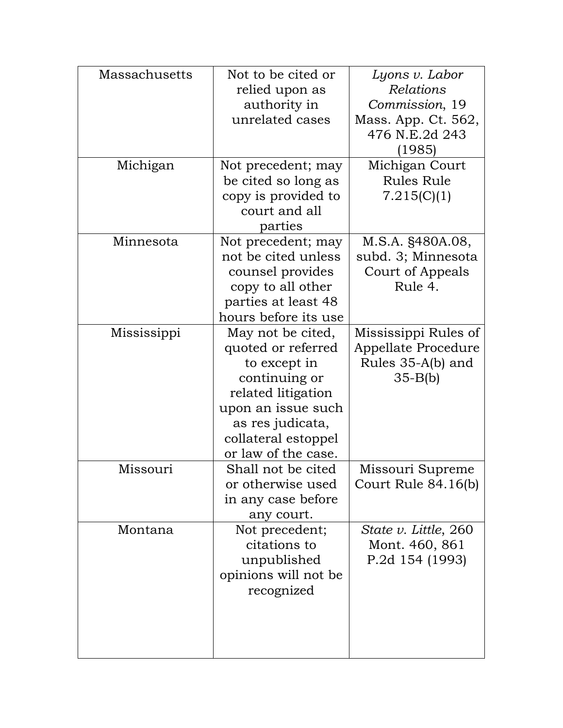| Massachusetts | Not to be cited or                      | Lyons v. Labor       |
|---------------|-----------------------------------------|----------------------|
|               | relied upon as                          | Relations            |
|               | authority in                            | Commission, 19       |
|               | unrelated cases                         | Mass. App. Ct. 562,  |
|               |                                         | 476 N.E.2d 243       |
|               |                                         | (1985)               |
| Michigan      | Not precedent; may                      | Michigan Court       |
|               | be cited so long as                     | <b>Rules Rule</b>    |
|               | copy is provided to                     | 7.215(C)(1)          |
|               | court and all                           |                      |
|               | parties                                 |                      |
| Minnesota     | Not precedent; may                      | M.S.A. §480A.08,     |
|               | not be cited unless                     | subd. 3; Minnesota   |
|               | counsel provides                        | Court of Appeals     |
|               | copy to all other                       | Rule 4.              |
|               | parties at least 48                     |                      |
|               | hours before its use                    |                      |
| Mississippi   |                                         | Mississippi Rules of |
|               | May not be cited,<br>quoted or referred | Appellate Procedure  |
|               |                                         |                      |
|               | to except in                            | Rules 35-A(b) and    |
|               | continuing or                           | $35-B(b)$            |
|               | related litigation                      |                      |
|               | upon an issue such                      |                      |
|               | as res judicata,                        |                      |
|               | collateral estoppel                     |                      |
|               | or law of the case.                     |                      |
| Missouri      | Shall not be cited                      | Missouri Supreme     |
|               | or otherwise used                       | Court Rule 84.16(b)  |
|               | in any case before                      |                      |
|               | any court.                              |                      |
| Montana       | Not precedent;                          | State v. Little, 260 |
|               | citations to                            | Mont. 460, 861       |
|               | unpublished                             | P.2d 154 (1993)      |
|               | opinions will not be                    |                      |
|               | recognized                              |                      |
|               |                                         |                      |
|               |                                         |                      |
|               |                                         |                      |
|               |                                         |                      |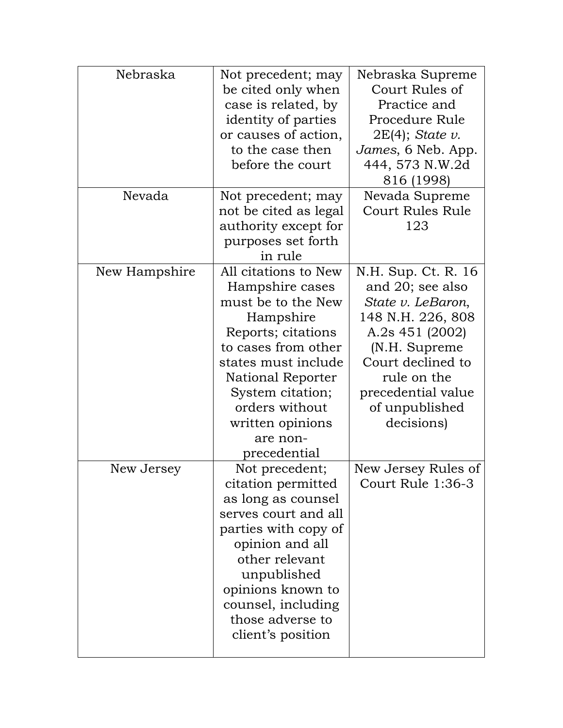| Nebraska      | Not precedent; may    | Nebraska Supreme        |
|---------------|-----------------------|-------------------------|
|               | be cited only when    | Court Rules of          |
|               | case is related, by   | Practice and            |
|               | identity of parties   | Procedure Rule          |
|               | or causes of action,  | $2E(4)$ ; State v.      |
|               | to the case then      | James, 6 Neb. App.      |
|               | before the court      | 444, 573 N.W.2d         |
|               |                       | 816 (1998)              |
| Nevada        | Not precedent; may    | Nevada Supreme          |
|               | not be cited as legal | <b>Court Rules Rule</b> |
|               | authority except for  | 123                     |
|               | purposes set forth    |                         |
|               | in rule               |                         |
| New Hampshire | All citations to New  | N.H. Sup. Ct. R. 16     |
|               | Hampshire cases       | and 20; see also        |
|               | must be to the New    | State v. LeBaron,       |
|               | Hampshire             | 148 N.H. 226, 808       |
|               | Reports; citations    | A.2s 451 (2002)         |
|               | to cases from other   | (N.H. Supreme           |
|               | states must include   | Court declined to       |
|               | National Reporter     | rule on the             |
|               | System citation;      | precedential value      |
|               | orders without        | of unpublished          |
|               | written opinions      | decisions)              |
|               | are non-              |                         |
|               | precedential          |                         |
| New Jersey    | Not precedent;        | New Jersey Rules of     |
|               | citation permitted    | Court Rule 1:36-3       |
|               | as long as counsel    |                         |
|               | serves court and all  |                         |
|               | parties with copy of  |                         |
|               | opinion and all       |                         |
|               | other relevant        |                         |
|               | unpublished           |                         |
|               | opinions known to     |                         |
|               | counsel, including    |                         |
|               | those adverse to      |                         |
|               | client's position     |                         |
|               |                       |                         |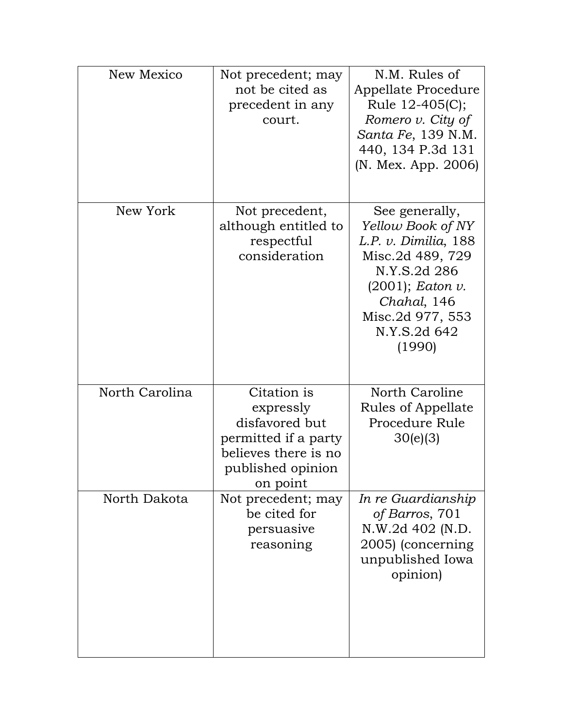| New Mexico     | Not precedent; may<br>not be cited as<br>precedent in any<br>court.                                                         | N.M. Rules of<br>Appellate Procedure<br>Rule 12-405(C);<br>Romero $v$ . City of<br>Santa Fe, 139 N.M.<br>440, 134 P.3d 131<br>(N. Mex. App. 2006)                                   |
|----------------|-----------------------------------------------------------------------------------------------------------------------------|-------------------------------------------------------------------------------------------------------------------------------------------------------------------------------------|
| New York       | Not precedent,<br>although entitled to<br>respectful<br>consideration                                                       | See generally,<br>Yellow Book of NY<br>L.P. v. Dimilia, 188<br>Misc.2d 489, 729<br>N.Y.S.2d 286<br>$(2001)$ ; Eaton v.<br>Chahal, 146<br>Misc.2d 977, 553<br>N.Y.S.2d 642<br>(1990) |
| North Carolina | Citation is<br>expressly<br>disfavored but<br>permitted if a party<br>believes there is no<br>published opinion<br>on point | North Caroline<br>Rules of Appellate<br>Procedure Rule<br>30(e)(3)                                                                                                                  |
| North Dakota   | Not precedent; may<br>be cited for<br>persuasive<br>reasoning                                                               | In re Guardianship<br>of Barros, 701<br>N.W.2d 402 (N.D.<br>2005) (concerning<br>unpublished Iowa<br>opinion)                                                                       |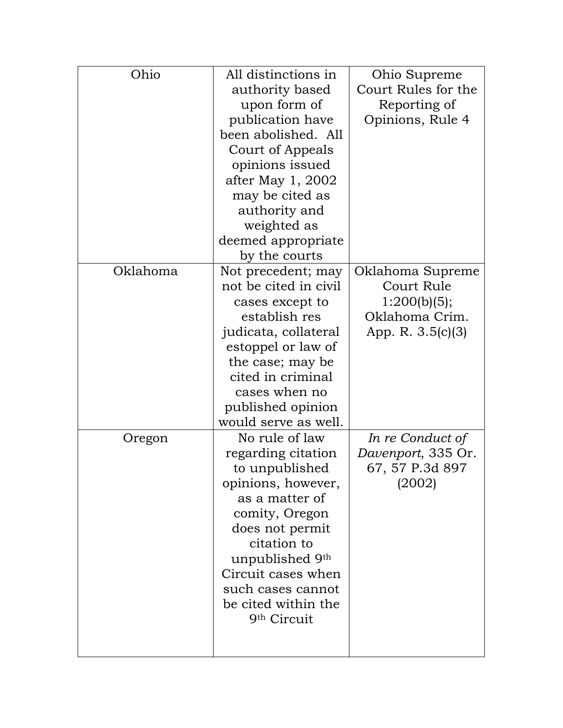| Ohio     | All distinctions in     | Ohio Supreme        |
|----------|-------------------------|---------------------|
|          | authority based         | Court Rules for the |
|          | upon form of            | Reporting of        |
|          | publication have        | Opinions, Rule 4    |
|          | been abolished. All     |                     |
|          | Court of Appeals        |                     |
|          | opinions issued         |                     |
|          | after May 1, 2002       |                     |
|          | may be cited as         |                     |
|          | authority and           |                     |
|          | weighted as             |                     |
|          | deemed appropriate      |                     |
|          | by the courts           |                     |
| Oklahoma | Not precedent; may      | Oklahoma Supreme    |
|          | not be cited in civil   | Court Rule          |
|          | cases except to         | 1:200(b)(5);        |
|          | establish res           | Oklahoma Crim.      |
|          | judicata, collateral    | App. R. 3.5(c)(3)   |
|          | estoppel or law of      |                     |
|          | the case; may be        |                     |
|          | cited in criminal       |                     |
|          | cases when no           |                     |
|          | published opinion       |                     |
|          | would serve as well.    |                     |
| Oregon   | No rule of law          | In re Conduct of    |
|          | regarding citation      | Davenport, 335 Or.  |
|          | to unpublished          | 67, 57 P.3d 897     |
|          | opinions, however,      | (2002)              |
|          | as a matter of          |                     |
|          | comity, Oregon          |                     |
|          | does not permit         |                     |
|          | citation to             |                     |
|          | unpublished 9th         |                     |
|          | Circuit cases when      |                     |
|          | such cases cannot       |                     |
|          | be cited within the     |                     |
|          | 9 <sup>th</sup> Circuit |                     |
|          |                         |                     |
|          |                         |                     |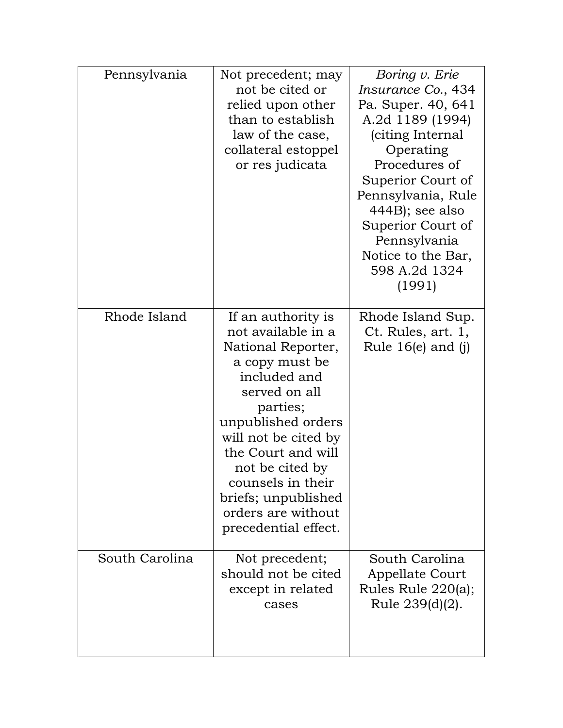| Pennsylvania   | Not precedent; may<br>not be cited or<br>relied upon other<br>than to establish<br>law of the case,<br>collateral estoppel<br>or res judicata                                                                                                                                                                  | Boring v. Erie<br>Insurance Co., 434<br>Pa. Super. 40, 641<br>A.2d 1189 (1994)<br>citing Internal<br>Operating<br>Procedures of<br>Superior Court of<br>Pennsylvania, Rule<br>$444B$ ; see also<br>Superior Court of<br>Pennsylvania<br>Notice to the Bar,<br>598 A.2d 1324<br>(1991) |
|----------------|----------------------------------------------------------------------------------------------------------------------------------------------------------------------------------------------------------------------------------------------------------------------------------------------------------------|---------------------------------------------------------------------------------------------------------------------------------------------------------------------------------------------------------------------------------------------------------------------------------------|
| Rhode Island   | If an authority is<br>not available in a<br>National Reporter,<br>a copy must be<br>included and<br>served on all<br>parties;<br>unpublished orders<br>will not be cited by<br>the Court and will<br>not be cited by<br>counsels in their<br>briefs; unpublished<br>orders are without<br>precedential effect. | Rhode Island Sup.<br>Ct. Rules, art. 1,<br>Rule $16(e)$ and $(j)$                                                                                                                                                                                                                     |
| South Carolina | Not precedent;<br>should not be cited<br>except in related<br>cases                                                                                                                                                                                                                                            | South Carolina<br>Appellate Court<br>Rules Rule 220(a);<br>Rule 239(d)(2).                                                                                                                                                                                                            |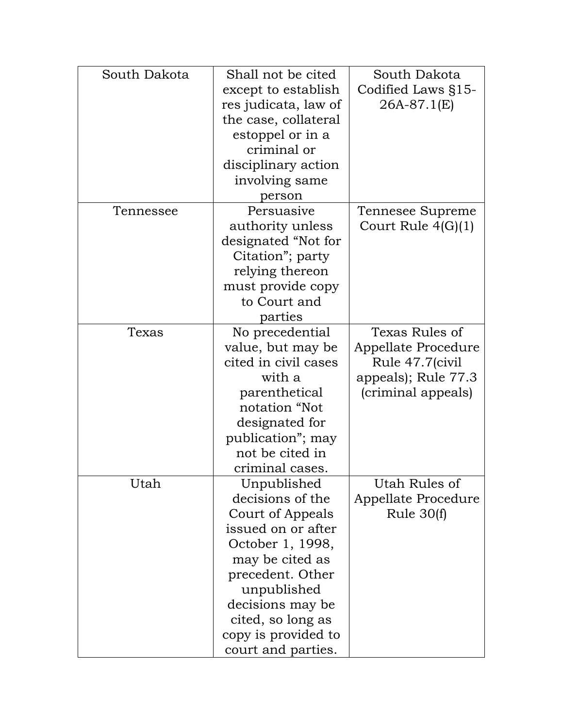| South Dakota | Shall not be cited                        | South Dakota         |
|--------------|-------------------------------------------|----------------------|
|              | except to establish                       | Codified Laws §15-   |
|              | res judicata, law of                      | 26A-87.1(E)          |
|              | the case, collateral                      |                      |
|              | estoppel or in a                          |                      |
|              | criminal or                               |                      |
|              | disciplinary action                       |                      |
|              | involving same                            |                      |
|              | person                                    |                      |
| Tennessee    | Persuasive                                | Tennesee Supreme     |
|              | authority unless                          | Court Rule $4(G)(1)$ |
|              | designated "Not for                       |                      |
|              | Citation"; party                          |                      |
|              | relying thereon                           |                      |
|              | must provide copy                         |                      |
|              | to Court and                              |                      |
|              | parties                                   |                      |
| Texas        | No precedential                           | Texas Rules of       |
|              |                                           |                      |
|              | value, but may be<br>cited in civil cases | Appellate Procedure  |
|              |                                           | Rule 47.7(civil      |
|              | with a                                    | appeals); Rule 77.3  |
|              | parenthetical                             | (criminal appeals)   |
|              | notation "Not                             |                      |
|              | designated for                            |                      |
|              | publication"; may                         |                      |
|              | not be cited in                           |                      |
|              | criminal cases.                           |                      |
| Utah         | Unpublished                               | Utah Rules of        |
|              | decisions of the                          | Appellate Procedure  |
|              | Court of Appeals                          | Rule $30(f)$         |
|              | issued on or after                        |                      |
|              | October 1, 1998,                          |                      |
|              | may be cited as                           |                      |
|              | precedent. Other                          |                      |
|              | unpublished                               |                      |
|              | decisions may be                          |                      |
|              | cited, so long as                         |                      |
|              | copy is provided to                       |                      |
|              | court and parties.                        |                      |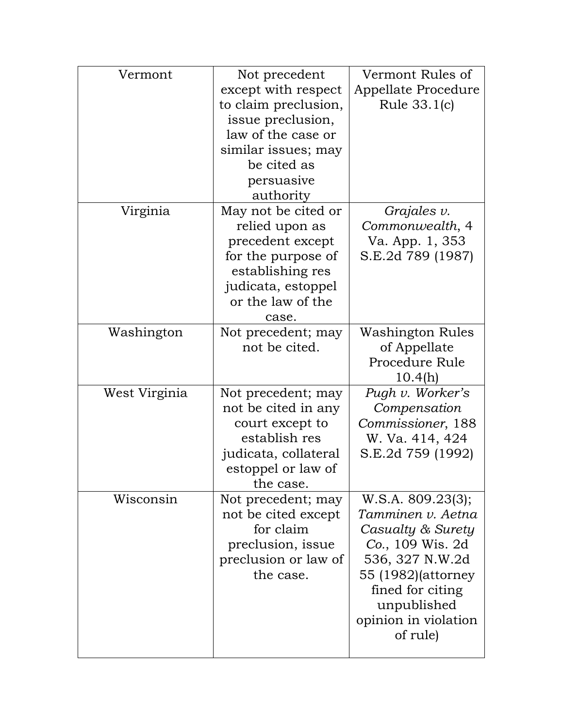| Vermont       | Not precedent        | Vermont Rules of     |
|---------------|----------------------|----------------------|
|               | except with respect  | Appellate Procedure  |
|               | to claim preclusion, | Rule 33.1(c)         |
|               | issue preclusion,    |                      |
|               | law of the case or   |                      |
|               | similar issues; may  |                      |
|               | be cited as          |                      |
|               | persuasive           |                      |
|               | authority            |                      |
| Virginia      | May not be cited or  | Grajales $v$ .       |
|               | relied upon as       | Commonwealth, 4      |
|               | precedent except     | Va. App. 1, 353      |
|               | for the purpose of   | S.E.2d 789 (1987)    |
|               | establishing res     |                      |
|               | judicata, estoppel   |                      |
|               | or the law of the    |                      |
|               | case.                |                      |
| Washington    | Not precedent; may   | Washington Rules     |
|               | not be cited.        | of Appellate         |
|               |                      | Procedure Rule       |
|               |                      | 10.4(h)              |
| West Virginia | Not precedent; may   | Pugh v. Worker's     |
|               | not be cited in any  | Compensation         |
|               | court except to      | Commissioner, 188    |
|               | establish res        | W. Va. 414, 424      |
|               | judicata, collateral | S.E.2d 759 (1992)    |
|               | estoppel or law of   |                      |
|               | the case.            |                      |
| Wisconsin     | Not precedent; may   | W.S.A. 809.23(3);    |
|               | not be cited except  | Tamminen v. Aetna    |
|               | for claim            | Casualty & Surety    |
|               | preclusion, issue    | Co., 109 Wis. 2d     |
|               | preclusion or law of | 536, 327 N.W.2d      |
|               | the case.            | 55 (1982)(attorney   |
|               |                      | fined for citing     |
|               |                      | unpublished          |
|               |                      | opinion in violation |
|               |                      | of rule)             |
|               |                      |                      |